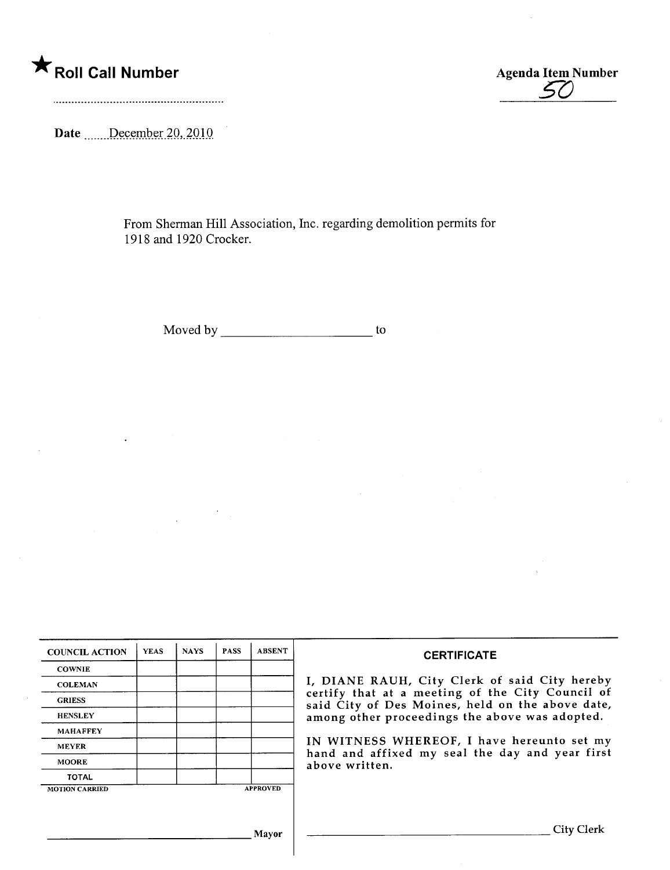\* Roll Call Number Agenda Item Number



Date ......December 20, 2010

From Sherman Hill Association, Inc. regarding demolition permits for 1918 and 1920 Crocker.

Moved by to the state of the state of the state  $\sim$ 

| <b>COUNCIL ACTION</b> | <b>YEAS</b> | <b>NAYS</b> | <b>PASS</b> | <b>ABSENT</b>   | <b>CERTIFICATE</b>                                                                                   |  |  |  |  |  |  |
|-----------------------|-------------|-------------|-------------|-----------------|------------------------------------------------------------------------------------------------------|--|--|--|--|--|--|
| <b>COWNIE</b>         |             |             |             |                 |                                                                                                      |  |  |  |  |  |  |
| <b>COLEMAN</b>        |             |             |             |                 | I, DIANE RAUH, City Clerk of said City hereby                                                        |  |  |  |  |  |  |
| <b>GRIESS</b>         |             |             |             |                 | certify that at a meeting of the City Council of<br>said City of Des Moines, held on the above date, |  |  |  |  |  |  |
| <b>HENSLEY</b>        |             |             |             |                 | among other proceedings the above was adopted.                                                       |  |  |  |  |  |  |
| <b>MAHAFFEY</b>       |             |             |             |                 |                                                                                                      |  |  |  |  |  |  |
| <b>MEYER</b>          |             |             |             |                 | IN WITNESS WHEREOF, I have hereunto set my                                                           |  |  |  |  |  |  |
| <b>MOORE</b>          |             |             |             |                 | hand and affixed my seal the day and year first<br>above written.                                    |  |  |  |  |  |  |
| <b>TOTAL</b>          |             |             |             |                 |                                                                                                      |  |  |  |  |  |  |
| <b>MOTION CARRIED</b> |             |             |             | <b>APPROVED</b> |                                                                                                      |  |  |  |  |  |  |
|                       |             |             |             |                 |                                                                                                      |  |  |  |  |  |  |
|                       |             |             |             | Mayor           | City Clerk                                                                                           |  |  |  |  |  |  |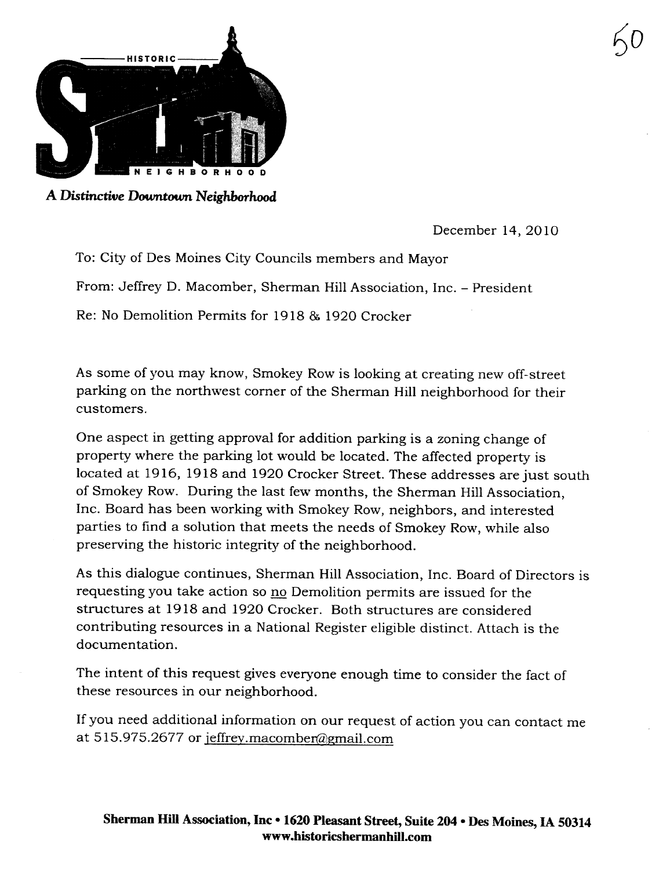

A Distinctive Downtown Neighborhood

December 14,2010

 $50$ 

To: City of Des Moines City Councils members and Mayor From: Jeffrey D. Macomber, Sherman Hil Association, Inc. - President Re: No Demolition Permits for 1918 & 1920 Crocker

As some of you may know, Smokey Row is looking at creating new off-street parking on the nortwest corner of the Sherman Hill neighborhood for their customers.

One aspect in getting approval for addition parking is a zoning change of property where the parking lot would be located. The affected property is located at 1916, 1918 and 1920 Crocker Street. These addresses are just south of Smokey Row. During the last few months, the Sherman Hil Association, Inc. Board has been working with Smokey Row, neighbors, and interested parties to find a solution that meets the needs of Smokey Row, while also preserving the historic integrity of the neighborhood.

As this dialogue continues, Sherman Hil Association, Inc. Board of Directors is requesting you take action so no Demolition permits are issued for the structures at 1918 and 1920 Crocker. Both structures are considered contributing resources in a National Register eligible distinct. Attach is the documentation.

The intent of this request gives everyone enough time to consider the fact of these resources in our neighborhood.

If you need additional information on our request of action you can contact me at 515.975.2677 or jeffrey.macomber@gmail.com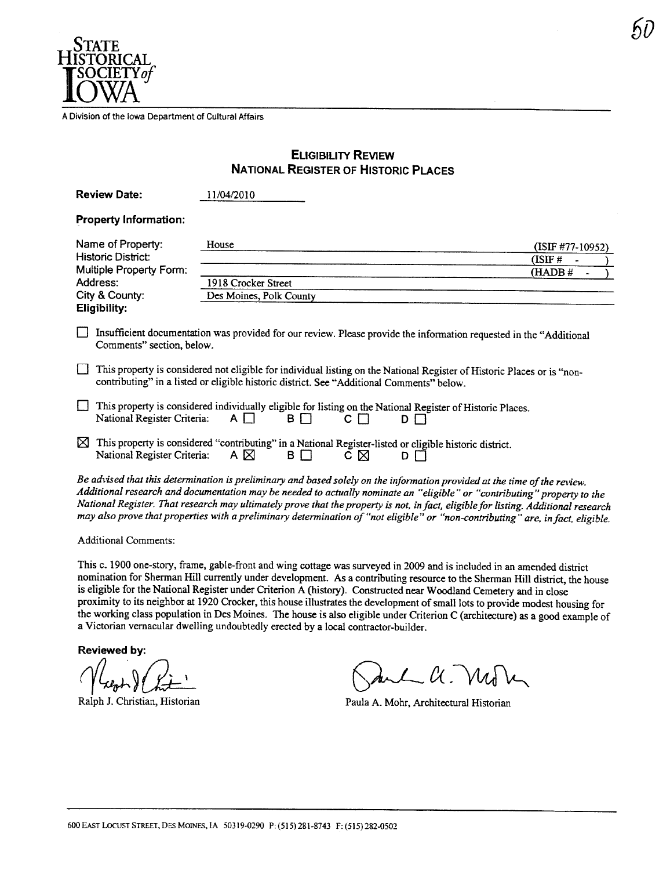

A Division of the Iowa Department of Cultural Affairs

## ELIGIBILITY REVIEW NATIONAL REGISTER OF HISTORIC PLACES

|                                         | <b>Review Date:</b>                                                                                                                                                                                                  | 11/04/2010              |       |                           |       |                                                                                                                                                                                                                                                                |  |
|-----------------------------------------|----------------------------------------------------------------------------------------------------------------------------------------------------------------------------------------------------------------------|-------------------------|-------|---------------------------|-------|----------------------------------------------------------------------------------------------------------------------------------------------------------------------------------------------------------------------------------------------------------------|--|
|                                         | <b>Property Information:</b>                                                                                                                                                                                         |                         |       |                           |       |                                                                                                                                                                                                                                                                |  |
| Name of Property:<br>Historic District: |                                                                                                                                                                                                                      | House                   |       |                           |       | (ISIF #77-10952)                                                                                                                                                                                                                                               |  |
| Multiple Property Form:                 |                                                                                                                                                                                                                      |                         |       |                           |       | (ISIF#                                                                                                                                                                                                                                                         |  |
| Address:                                |                                                                                                                                                                                                                      | 1918 Crocker Street     |       |                           |       | (HADB#                                                                                                                                                                                                                                                         |  |
| City & County:                          |                                                                                                                                                                                                                      | Des Moines, Polk County |       |                           |       |                                                                                                                                                                                                                                                                |  |
|                                         | <b>Eligibility:</b>                                                                                                                                                                                                  |                         |       |                           |       |                                                                                                                                                                                                                                                                |  |
|                                         | Insufficient documentation was provided for our review. Please provide the information requested in the "Additional<br>Comments" section, below.                                                                     |                         |       |                           |       |                                                                                                                                                                                                                                                                |  |
|                                         | This property is considered not eligible for individual listing on the National Register of Historic Places or is "non-<br>contributing" in a listed or eligible historic district. See "Additional Comments" below. |                         |       |                           |       |                                                                                                                                                                                                                                                                |  |
|                                         | This property is considered individually eligible for listing on the National Register of Historic Places.<br>National Register Criteria:                                                                            | $A \Box$                | B I T | $\mathsf{c} \mathsf{\Pi}$ | D I T |                                                                                                                                                                                                                                                                |  |
| ⋈                                       | This property is considered "contributing" in a National Register-listed or eligible historic district.<br>National Register Criteria:                                                                               | A $\boxtimes$           | BП    | сΜ                        | D     |                                                                                                                                                                                                                                                                |  |
|                                         | Be advised that this determination is preliminary and based solely on the information provided at the time of the review.                                                                                            |                         |       |                           |       | Additional research and documentation may be needed to actually nominate an "eligible" or "contributing" property to the<br>National Register. That research may ultimately prove that the property is not, in fact, eligible for listing. Additional research |  |

Additional Comments:

This c. 1900 one-story, frame, gable-front and wing cottage was surveyed in 2009 and is included in an amended district nomination for Sherman Hill currently under development. As a contributing resource to the Sherman Hill district, the house is eligible for the National Register under Criterion A (history). Constructed near Woodland Cemetery and in close proximity to its neighbor at 1920 Crocker, this house illustrates the development of small lots to provide modest housing for the working class population in Des Moines. The house is also eligible under Criterion C (architecture) as a good example of a Victorian vernacular dwelling undoubtedly erected by a local contractor-builder.

may also prove that properties with a preliminary determination of "not eligible" or "non-contrbuting" are. in fact. eligible.

Reviewed by:

Ralph J. Christian, Historian

Reviewed by:<br>Reviewed by:<br>Ralph J. Christian, Historian<br>Ralph J. Christian, Historian<br>Paula A. Mohr, Architectural Historian

Paula A. Mohr, Architectural Historian